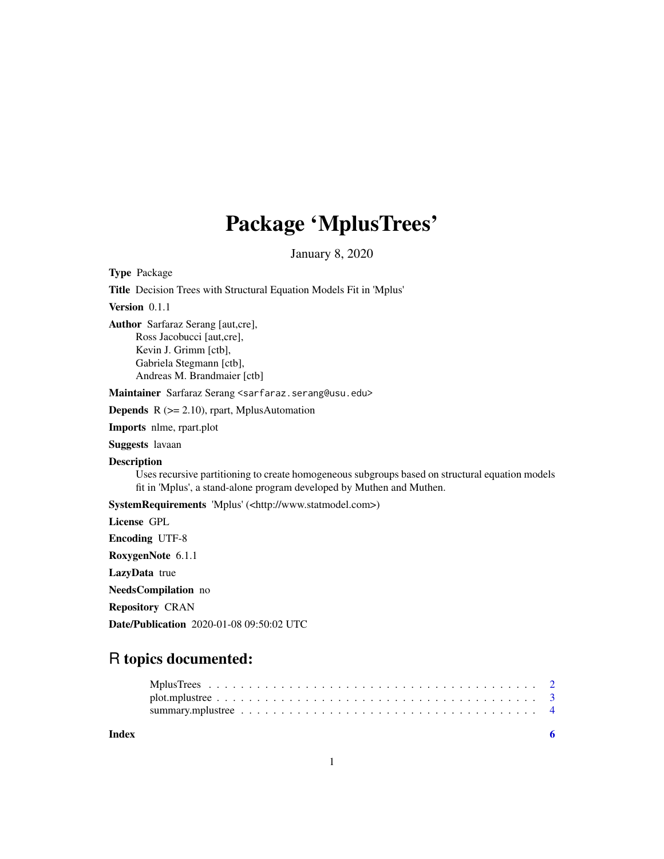## Package 'MplusTrees'

January 8, 2020

Type Package Title Decision Trees with Structural Equation Models Fit in 'Mplus' Version 0.1.1 Author Sarfaraz Serang [aut,cre], Ross Jacobucci [aut,cre], Kevin J. Grimm [ctb], Gabriela Stegmann [ctb], Andreas M. Brandmaier [ctb] Maintainer Sarfaraz Serang <sarfaraz.serang@usu.edu> **Depends**  $R$  ( $>= 2.10$ ), rpart, MplusAutomation Imports nlme, rpart.plot Suggests lavaan

Description

Uses recursive partitioning to create homogeneous subgroups based on structural equation models fit in 'Mplus', a stand-alone program developed by Muthen and Muthen.

SystemRequirements 'Mplus' (<http://www.statmodel.com>)

License GPL

Encoding UTF-8

RoxygenNote 6.1.1

LazyData true

NeedsCompilation no

Repository CRAN

Date/Publication 2020-01-08 09:50:02 UTC

### R topics documented:

| Index |  |
|-------|--|
|       |  |
|       |  |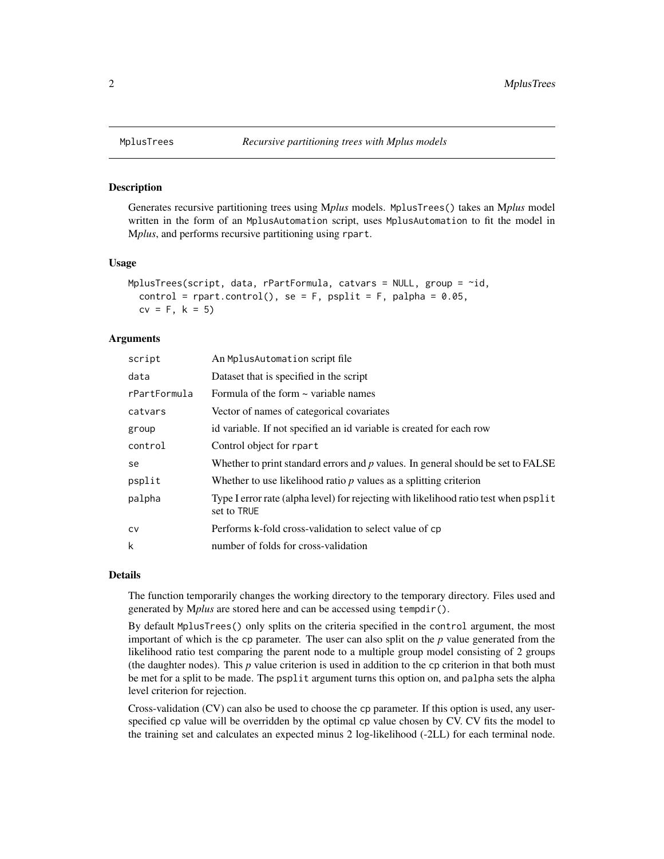#### Description

Generates recursive partitioning trees using M*plus* models. MplusTrees() takes an M*plus* model written in the form of an MplusAutomation script, uses MplusAutomation to fit the model in M*plus*, and performs recursive partitioning using rpart.

#### Usage

```
MplusTrees(script, data, rPartFormula, catvars = NULL, group = \negid,
  control = rpart.control(), se = F, psplit = F, palpha = 0.05,
  cv = F, k = 5
```
#### **Arguments**

| script       | An Mplus Automation script file                                                                      |
|--------------|------------------------------------------------------------------------------------------------------|
| data         | Dataset that is specified in the script                                                              |
| rPartFormula | Formula of the form $\sim$ variable names                                                            |
| catvars      | Vector of names of categorical covariates                                                            |
| group        | id variable. If not specified an id variable is created for each row                                 |
| control      | Control object for rpart                                                                             |
| se           | Whether to print standard errors and $p$ values. In general should be set to FALSE                   |
| psplit       | Whether to use likelihood ratio $p$ values as a splitting criterion                                  |
| palpha       | Type I error rate (alpha level) for rejecting with likelihood ratio test when pspl it<br>set to TRUE |
| CV           | Performs k-fold cross-validation to select value of cp                                               |
| k            | number of folds for cross-validation                                                                 |
|              |                                                                                                      |

#### Details

The function temporarily changes the working directory to the temporary directory. Files used and generated by M*plus* are stored here and can be accessed using tempdir().

By default MplusTrees() only splits on the criteria specified in the control argument, the most important of which is the cp parameter. The user can also split on the *p* value generated from the likelihood ratio test comparing the parent node to a multiple group model consisting of 2 groups (the daughter nodes). This *p* value criterion is used in addition to the cp criterion in that both must be met for a split to be made. The psplit argument turns this option on, and palpha sets the alpha level criterion for rejection.

Cross-validation (CV) can also be used to choose the cp parameter. If this option is used, any userspecified cp value will be overridden by the optimal cp value chosen by CV. CV fits the model to the training set and calculates an expected minus 2 log-likelihood (-2LL) for each terminal node.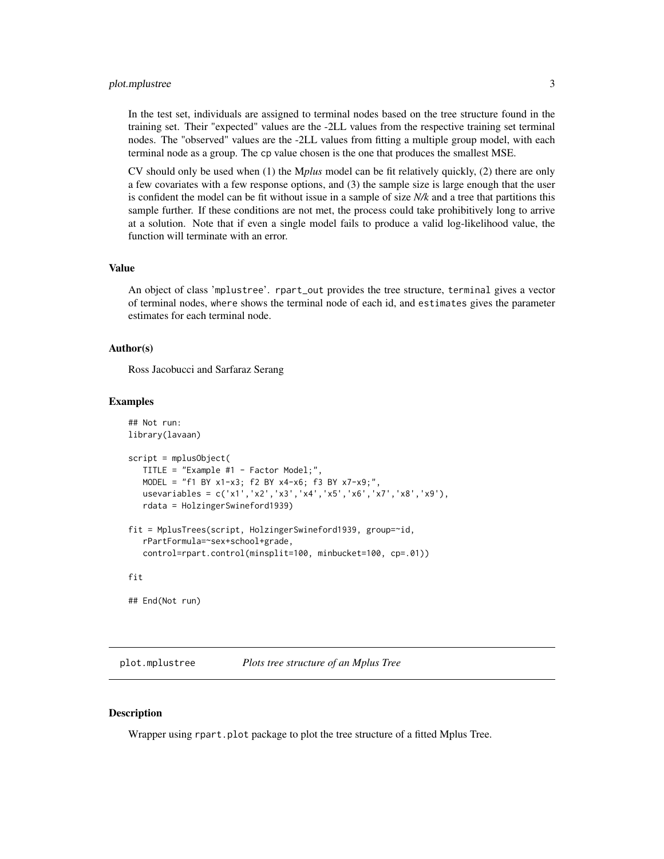#### <span id="page-2-0"></span>plot.mplustree 3

In the test set, individuals are assigned to terminal nodes based on the tree structure found in the training set. Their "expected" values are the -2LL values from the respective training set terminal nodes. The "observed" values are the -2LL values from fitting a multiple group model, with each terminal node as a group. The cp value chosen is the one that produces the smallest MSE.

CV should only be used when (1) the M*plus* model can be fit relatively quickly, (2) there are only a few covariates with a few response options, and (3) the sample size is large enough that the user is confident the model can be fit without issue in a sample of size *N/k* and a tree that partitions this sample further. If these conditions are not met, the process could take prohibitively long to arrive at a solution. Note that if even a single model fails to produce a valid log-likelihood value, the function will terminate with an error.

#### Value

An object of class 'mplustree'. rpart\_out provides the tree structure, terminal gives a vector of terminal nodes, where shows the terminal node of each id, and estimates gives the parameter estimates for each terminal node.

#### Author(s)

Ross Jacobucci and Sarfaraz Serang

#### Examples

```
## Not run:
library(lavaan)
script = mplusObject(
  TITLE = "Example #1 - Factor Model;",
  MODEL = "f1 BY x1-x3; f2 BY x4-x6; f3 BY x7-x9;",
  usevariables = c('x1','x2','x3','x4','x5','x6','x7','x8','x9'),
  rdata = HolzingerSwineford1939)
fit = MplusTrees(script, HolzingerSwineford1939, group=~id,
   rPartFormula=~sex+school+grade,
  control=rpart.control(minsplit=100, minbucket=100, cp=.01))
fit
```
## End(Not run)

plot.mplustree *Plots tree structure of an Mplus Tree*

#### Description

Wrapper using rpart.plot package to plot the tree structure of a fitted Mplus Tree.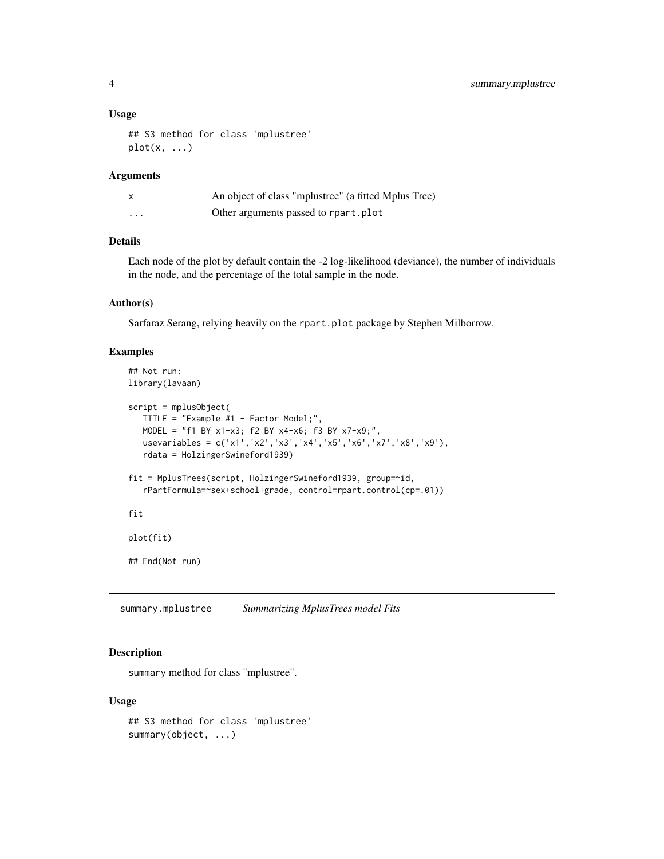#### <span id="page-3-0"></span>Usage

```
## S3 method for class 'mplustree'
plot(x, \ldots)
```
#### Arguments

| x | An object of class "mplustree" (a fitted Mplus Tree) |
|---|------------------------------------------------------|
| . | Other arguments passed to rpart.plot                 |

#### Details

Each node of the plot by default contain the -2 log-likelihood (deviance), the number of individuals in the node, and the percentage of the total sample in the node.

#### Author(s)

Sarfaraz Serang, relying heavily on the rpart.plot package by Stephen Milborrow.

#### Examples

```
## Not run:
library(lavaan)
script = mplusObject(
   TITLE = "Example #1 - Factor Model;",
   MODEL = "f1 BY x1-x3; f2 BY x4-x6; f3 BY x7-x9;",
  usevariables = c('x1','x2','x3','x4','x5','x6','x7','x8','x9'),
   rdata = HolzingerSwineford1939)
fit = MplusTrees(script, HolzingerSwineford1939, group=~id,
   rPartFormula=~sex+school+grade, control=rpart.control(cp=.01))
fit
plot(fit)
## End(Not run)
```
summary.mplustree *Summarizing MplusTrees model Fits*

#### Description

summary method for class "mplustree".

#### Usage

## S3 method for class 'mplustree' summary(object, ...)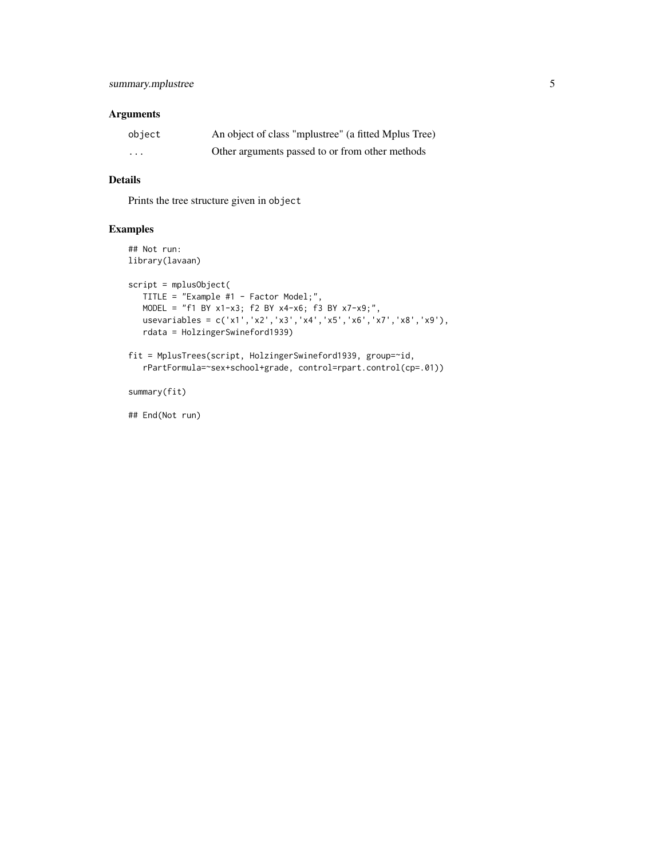#### Arguments

| object   | An object of class "mplustree" (a fitted Mplus Tree) |
|----------|------------------------------------------------------|
| $\cdots$ | Other arguments passed to or from other methods      |

#### Details

Prints the tree structure given in object

#### Examples

```
## Not run:
library(lavaan)
script = mplusObject(
   TITLE = "Example #1 - Factor Model;",
   MODEL = "f1 BY x1-x3; f2 BY x4-x6; f3 BY x7-x9;",
   usevariables = c('x1','x2','x3','x4','x5','x6','x7','x8','x9'),
   rdata = HolzingerSwineford1939)
fit = MplusTrees(script, HolzingerSwineford1939, group=~id,
   rPartFormula=~sex+school+grade, control=rpart.control(cp=.01))
```
summary(fit)

## End(Not run)